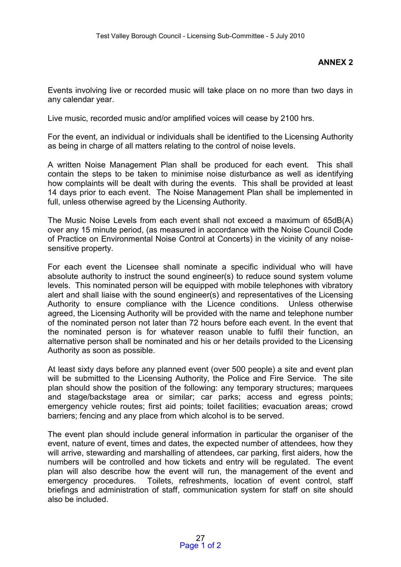## **ANNEX 2**

Events involving live or recorded music will take place on no more than two days in any calendar year.

Live music, recorded music and/or amplified voices will cease by 2100 hrs.

For the event, an individual or individuals shall be identified to the Licensing Authority as being in charge of all matters relating to the control of noise levels.

A written Noise Management Plan shall be produced for each event. This shall contain the steps to be taken to minimise noise disturbance as well as identifying how complaints will be dealt with during the events. This shall be provided at least 14 days prior to each event. The Noise Management Plan shall be implemented in full, unless otherwise agreed by the Licensing Authority.

The Music Noise Levels from each event shall not exceed a maximum of 65dB(A) over any 15 minute period, (as measured in accordance with the Noise Council Code of Practice on Environmental Noise Control at Concerts) in the vicinity of any noisesensitive property.

For each event the Licensee shall nominate a specific individual who will have absolute authority to instruct the sound engineer(s) to reduce sound system volume levels. This nominated person will be equipped with mobile telephones with vibratory alert and shall liaise with the sound engineer(s) and representatives of the Licensing Authority to ensure compliance with the Licence conditions. Unless otherwise agreed, the Licensing Authority will be provided with the name and telephone number of the nominated person not later than 72 hours before each event. In the event that the nominated person is for whatever reason unable to fulfil their function, an alternative person shall be nominated and his or her details provided to the Licensing Authority as soon as possible.

At least sixty days before any planned event (over 500 people) a site and event plan will be submitted to the Licensing Authority, the Police and Fire Service. The site plan should show the position of the following: any temporary structures; marquees and stage/backstage area or similar; car parks; access and egress points; emergency vehicle routes; first aid points; toilet facilities; evacuation areas; crowd barriers; fencing and any place from which alcohol is to be served.

The event plan should include general information in particular the organiser of the event, nature of event, times and dates, the expected number of attendees, how they will arrive, stewarding and marshalling of attendees, car parking, first aiders, how the numbers will be controlled and how tickets and entry will be regulated. The event plan will also describe how the event will run, the management of the event and emergency procedures. Toilets, refreshments, location of event control, staff briefings and administration of staff, communication system for staff on site should also be included.